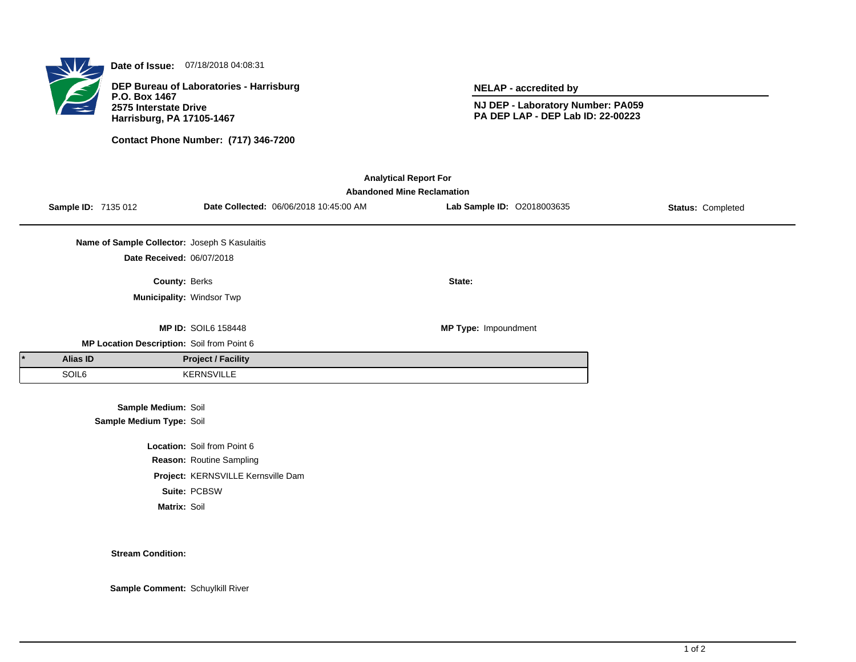

**Date of Issue:** 07/18/2018 04:08:31

**DEP Bureau of Laboratories - Harrisburg P.O. Box 1467 2575 Interstate Drive Harrisburg, PA 17105-1467**

**Contact Phone Number: (717) 346-7200**

**NELAP - accredited by**

**NJ DEP - Laboratory Number: PA059 PA DEP LAP - DEP Lab ID: 22-00223**

| <b>Analytical Report For</b><br><b>Abandoned Mine Reclamation</b> |                                               |                                    |                                        |                            |                   |  |  |  |
|-------------------------------------------------------------------|-----------------------------------------------|------------------------------------|----------------------------------------|----------------------------|-------------------|--|--|--|
| Sample ID: 7135 012                                               |                                               |                                    | Date Collected: 06/06/2018 10:45:00 AM | Lab Sample ID: 02018003635 | Status: Completed |  |  |  |
|                                                                   | Name of Sample Collector: Joseph S Kasulaitis |                                    |                                        |                            |                   |  |  |  |
|                                                                   | Date Received: 06/07/2018                     |                                    |                                        |                            |                   |  |  |  |
|                                                                   | County: Berks                                 |                                    |                                        | State:                     |                   |  |  |  |
|                                                                   | Municipality: Windsor Twp                     |                                    |                                        |                            |                   |  |  |  |
|                                                                   |                                               |                                    |                                        |                            |                   |  |  |  |
|                                                                   |                                               | <b>MP ID: SOIL6 158448</b>         |                                        | MP Type: Impoundment       |                   |  |  |  |
|                                                                   | MP Location Description: Soil from Point 6    |                                    |                                        |                            |                   |  |  |  |
| Alias ID                                                          |                                               | <b>Project / Facility</b>          |                                        |                            |                   |  |  |  |
| SOIL6                                                             |                                               | <b>KERNSVILLE</b>                  |                                        |                            |                   |  |  |  |
|                                                                   |                                               |                                    |                                        |                            |                   |  |  |  |
|                                                                   | Sample Medium: Soil                           |                                    |                                        |                            |                   |  |  |  |
|                                                                   | Sample Medium Type: Soil                      |                                    |                                        |                            |                   |  |  |  |
|                                                                   |                                               | Location: Soil from Point 6        |                                        |                            |                   |  |  |  |
|                                                                   |                                               | Reason: Routine Sampling           |                                        |                            |                   |  |  |  |
|                                                                   |                                               | Project: KERNSVILLE Kernsville Dam |                                        |                            |                   |  |  |  |
|                                                                   |                                               | Suite: PCBSW                       |                                        |                            |                   |  |  |  |
|                                                                   | Matrix: Soil                                  |                                    |                                        |                            |                   |  |  |  |

**Stream Condition:**

**Sample Comment:** Schuylkill River